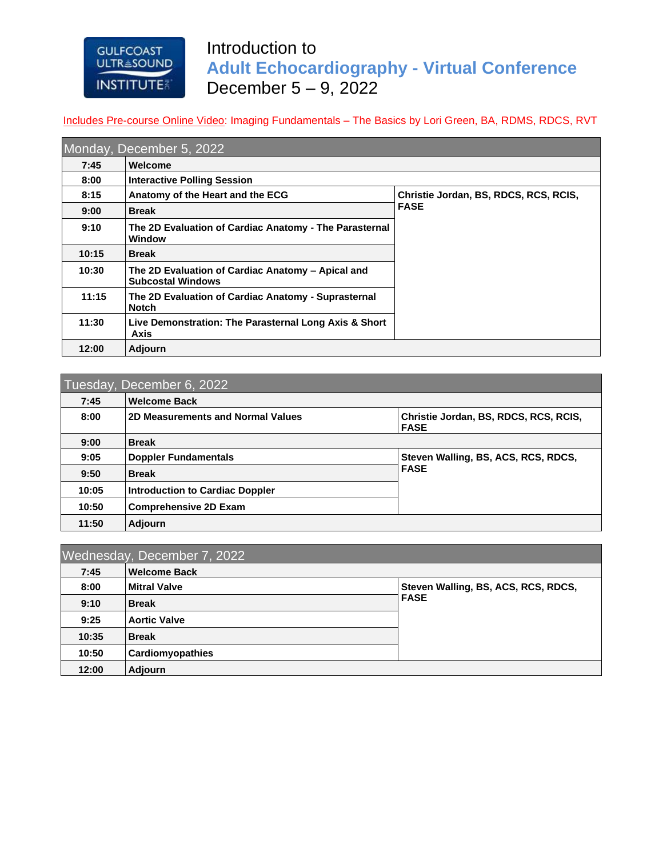## **GULFCOAST ULTRESOUND INSTITUTE**

**11:50 Adjourn**

## Introduction to **Adult Echocardiography - Virtual Conference** December 5 – 9, 2022

Includes Pre-course Online Video: Imaging Fundamentals – The Basics by Lori Green, BA, RDMS, RDCS, RVT

|       | Monday, December 5, 2022                                                      |                                       |
|-------|-------------------------------------------------------------------------------|---------------------------------------|
| 7:45  | Welcome                                                                       |                                       |
| 8:00  | <b>Interactive Polling Session</b>                                            |                                       |
| 8:15  | Anatomy of the Heart and the ECG                                              | Christie Jordan, BS, RDCS, RCS, RCIS, |
| 9:00  | <b>Break</b>                                                                  | <b>FASE</b>                           |
| 9:10  | The 2D Evaluation of Cardiac Anatomy - The Parasternal<br><b>Window</b>       |                                       |
| 10:15 | <b>Break</b>                                                                  |                                       |
| 10:30 | The 2D Evaluation of Cardiac Anatomy - Apical and<br><b>Subcostal Windows</b> |                                       |
| 11:15 | The 2D Evaluation of Cardiac Anatomy - Suprasternal<br><b>Notch</b>           |                                       |
| 11:30 | Live Demonstration: The Parasternal Long Axis & Short<br>Axis                 |                                       |
| 12:00 | <b>Adjourn</b>                                                                |                                       |

## Tuesday, December 6, 2022 **7:45 Welcome Back** 8:00 **2D Measurements and Normal Values Christie Jordan, BS, RDCS, RCS, RCIS, FASE 9:00 Break 9:05 Doppler Fundamentals Steven Walling, BS, ACS, RCS, RDCS, FASE 9:50 Break 10:05 Introduction to Cardiac Doppler 10:50 Comprehensive 2D Exam**

|       | Wednesday, December 7, 2022 |                                     |
|-------|-----------------------------|-------------------------------------|
| 7:45  | <b>Welcome Back</b>         |                                     |
| 8:00  | <b>Mitral Valve</b>         | Steven Walling, BS, ACS, RCS, RDCS, |
| 9:10  | <b>Break</b>                | <b>FASE</b>                         |
| 9:25  | <b>Aortic Valve</b>         |                                     |
| 10:35 | <b>Break</b>                |                                     |
| 10:50 | Cardiomyopathies            |                                     |
| 12:00 | <b>Adjourn</b>              |                                     |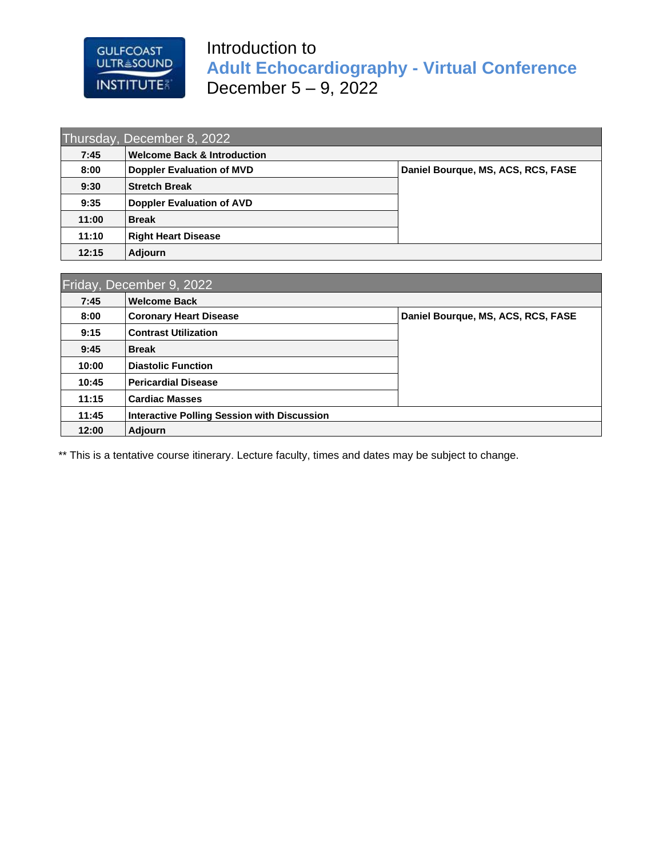# Introduction to **Adult Echocardiography - Virtual Conference** December 5 – 9, 2022

| 7:45  | <b>Welcome Back &amp; Introduction</b> |                                    |
|-------|----------------------------------------|------------------------------------|
| 8:00  | <b>Doppler Evaluation of MVD</b>       | Daniel Bourque, MS, ACS, RCS, FASE |
| 9:30  | <b>Stretch Break</b>                   |                                    |
| 9:35  | <b>Doppler Evaluation of AVD</b>       |                                    |
| 11:00 | <b>Break</b>                           |                                    |
| 11:10 | <b>Right Heart Disease</b>             |                                    |
| 12:15 | <b>Adjourn</b>                         |                                    |

GULFCOAST<br>ULTR≗SOUND

**INSTITUTE** 

| 7:45  | <b>Welcome Back</b>                                |                                    |
|-------|----------------------------------------------------|------------------------------------|
| 8:00  | <b>Coronary Heart Disease</b>                      | Daniel Bourque, MS, ACS, RCS, FASE |
| 9:15  | <b>Contrast Utilization</b>                        |                                    |
| 9:45  | <b>Break</b>                                       |                                    |
| 10:00 | <b>Diastolic Function</b>                          |                                    |
| 10:45 | <b>Pericardial Disease</b>                         |                                    |
| 11:15 | <b>Cardiac Masses</b>                              |                                    |
| 11:45 | <b>Interactive Polling Session with Discussion</b> |                                    |
| 12:00 | <b>Adjourn</b>                                     |                                    |

\*\* This is a tentative course itinerary. Lecture faculty, times and dates may be subject to change.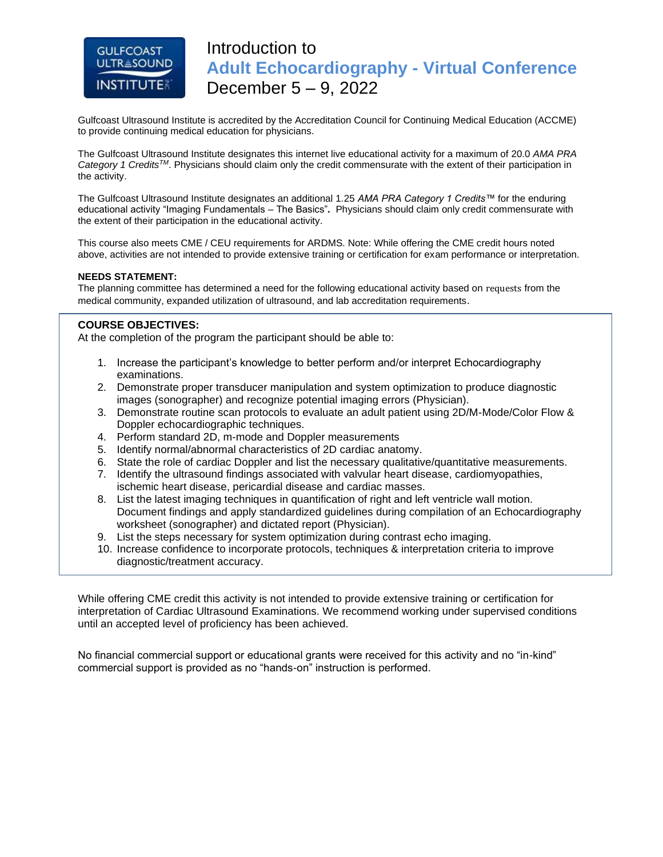## **GULFCOAST ULTRESOUND INSTITUTE**

## Introduction to **Adult Echocardiography - Virtual Conference** December 5 – 9, 2022

Gulfcoast Ultrasound Institute is accredited by the Accreditation Council for Continuing Medical Education (ACCME) to provide continuing medical education for physicians.

The Gulfcoast Ultrasound Institute designates this internet live educational activity for a maximum of 20.0 *AMA PRA Category 1 CreditsTM*. Physicians should claim only the credit commensurate with the extent of their participation in the activity.

The Gulfcoast Ultrasound Institute designates an additional 1*.*25 *AMA PRA Category 1 Credits™* for the enduring educational activity "Imaging Fundamentals – The Basics"*.* Physicians should claim only credit commensurate with the extent of their participation in the educational activity.

This course also meets CME / CEU requirements for ARDMS. Note: While offering the CME credit hours noted above, activities are not intended to provide extensive training or certification for exam performance or interpretation.

#### **NEEDS STATEMENT:**

The planning committee has determined a need for the following educational activity based on requests from the medical community, expanded utilization of ultrasound, and lab accreditation requirements.

#### **COURSE OBJECTIVES:**

At the completion of the program the participant should be able to:

- 1. Increase the participant's knowledge to better perform and/or interpret Echocardiography examinations.
- 2. Demonstrate proper transducer manipulation and system optimization to produce diagnostic images (sonographer) and recognize potential imaging errors (Physician).
- 3. Demonstrate routine scan protocols to evaluate an adult patient using 2D/M-Mode/Color Flow & Doppler echocardiographic techniques.
- 4. Perform standard 2D, m-mode and Doppler measurements
- 5. Identify normal/abnormal characteristics of 2D cardiac anatomy.
- 6. State the role of cardiac Doppler and list the necessary qualitative/quantitative measurements.
- 7. Identify the ultrasound findings associated with valvular heart disease, cardiomyopathies, ischemic heart disease, pericardial disease and cardiac masses.
- 8. List the latest imaging techniques in quantification of right and left ventricle wall motion. Document findings and apply standardized guidelines during compilation of an Echocardiography worksheet (sonographer) and dictated report (Physician).
- 9. List the steps necessary for system optimization during contrast echo imaging.
- 10. Increase confidence to incorporate protocols, techniques & interpretation criteria to improve diagnostic/treatment accuracy.

While offering CME credit this activity is not intended to provide extensive training or certification for interpretation of Cardiac Ultrasound Examinations. We recommend working under supervised conditions until an accepted level of proficiency has been achieved.

No financial commercial support or educational grants were received for this activity and no "in-kind" commercial support is provided as no "hands-on" instruction is performed.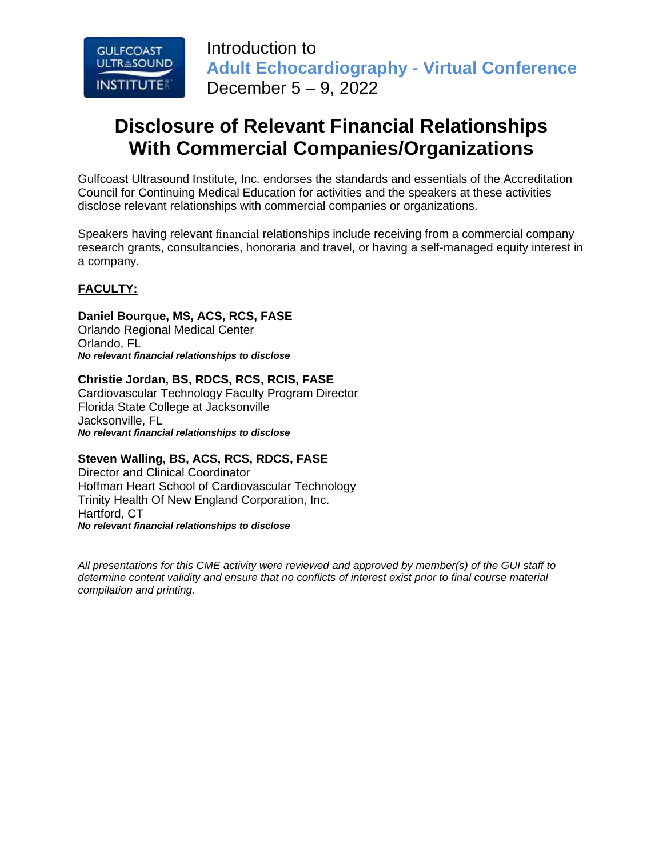

Introduction to **Adult Echocardiography - Virtual Conference** December 5 – 9, 2022

# **Disclosure of Relevant Financial Relationships With Commercial Companies/Organizations**

Gulfcoast Ultrasound Institute, Inc. endorses the standards and essentials of the Accreditation Council for Continuing Medical Education for activities and the speakers at these activities disclose relevant relationships with commercial companies or organizations.

Speakers having relevant financial relationships include receiving from a commercial company research grants, consultancies, honoraria and travel, or having a self-managed equity interest in a company.

## **FACULTY:**

### **Daniel Bourque, MS, ACS, RCS, FASE**

Orlando Regional Medical Center Orlando, FL *No relevant financial relationships to disclose*

#### **Christie Jordan, BS, RDCS, RCS, RCIS, FASE**

Cardiovascular Technology Faculty Program Director Florida State College at Jacksonville Jacksonville, FL *No relevant financial relationships to disclose*

### **Steven Walling, BS, ACS, RCS, RDCS, FASE**

Director and Clinical Coordinator Hoffman Heart School of Cardiovascular Technology Trinity Health Of New England Corporation, Inc. Hartford, CT *No relevant financial relationships to disclose*

*All presentations for this CME activity were reviewed and approved by member(s) of the GUI staff to determine content validity and ensure that no conflicts of interest exist prior to final course material compilation and printing.*